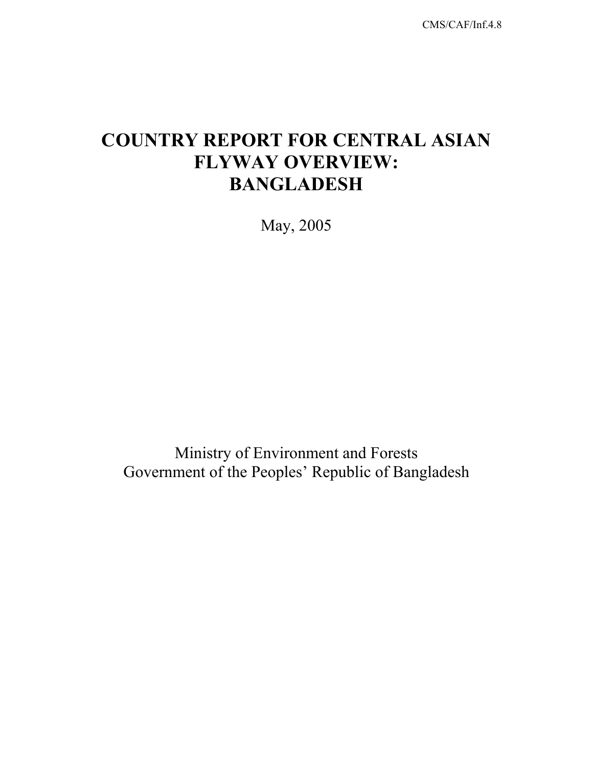CMS/CAF/Inf.4.8

# **COUNTRY REPORT FOR CENTRAL ASIAN FLYWAY OVERVIEW: BANGLADESH**

May, 2005

Ministry of Environment and Forests Government of the Peoples' Republic of Bangladesh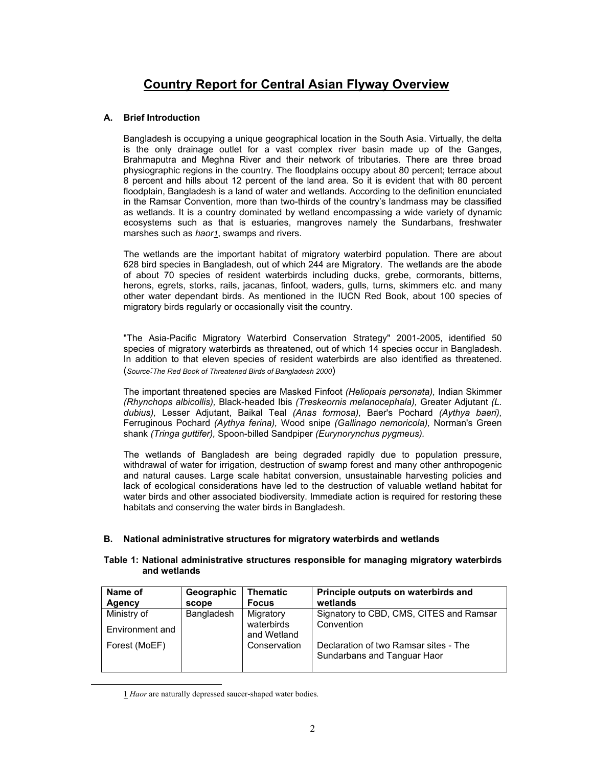# **Country Report for Central Asian Flyway Overview**

### **A. Brief Introduction**

Bangladesh is occupying a unique geographical location in the South Asia. Virtually, the delta is the only drainage outlet for a vast complex river basin made up of the Ganges, Brahmaputra and Meghna River and their network of tributaries. There are three broad physiographic regions in the country. The floodplains occupy about 80 percent; terrace about 8 percent and hills about 12 percent of the land area. So it is evident that with 80 percent floodplain, Bangladesh is a land of water and wetlands. According to the definition enunciated in the Ramsar Convention, more than two-thirds of the country's landmass may be classified as wetlands. It is a country dominated by wetland encompassing a wide variety of dynamic ecosystems such as that is estuaries, mangroves namely the Sundarbans, freshwater marshes such as *haor1*, swamps and rivers.

The wetlands are the important habitat of migratory waterbird population. There are about 628 bird species in Bangladesh, out of which 244 are Migratory. The wetlands are the abode of about 70 species of resident waterbirds including ducks, grebe, cormorants, bitterns, herons, egrets, storks, rails, jacanas, finfoot, waders, gulls, turns, skimmers etc. and many other water dependant birds. As mentioned in the IUCN Red Book, about 100 species of migratory birds regularly or occasionally visit the country.

"The Asia-Pacific Migratory Waterbird Conservation Strategy" 2001-2005, identified 50 species of migratory waterbirds as threatened, out of which 14 species occur in Bangladesh. In addition to that eleven species of resident waterbirds are also identified as threatened. (*Source:The Red Book of Threatened Birds of Bangladesh 2000*)

The important threatened species are Masked Finfoot *(Heliopais personata),* Indian Skimmer *(Rhynchops albicollis),* Black-headed Ibis *(Treskeornis melanocephala),* Greater Adjutant *(L. dubius),* Lesser Adjutant, Baikal Teal *(Anas formosa),* Baer's Pochard *(Aythya baeri),*  Ferruginous Pochard *(Aythya ferina),* Wood snipe *(Gallinago nemoricola),* Norman's Green shank *(Tringa guttifer),* Spoon-billed Sandpiper *(Eurynorynchus pygmeus).* 

The wetlands of Bangladesh are being degraded rapidly due to population pressure, withdrawal of water for irrigation, destruction of swamp forest and many other anthropogenic and natural causes. Large scale habitat conversion, unsustainable harvesting policies and lack of ecological considerations have led to the destruction of valuable wetland habitat for water birds and other associated biodiversity. Immediate action is required for restoring these habitats and conserving the water birds in Bangladesh.

#### **B. National administrative structures for migratory waterbirds and wetlands**

#### **Table 1: National administrative structures responsible for managing migratory waterbirds and wetlands**

| Name of         | Geographic | <b>Thematic</b>           | Principle outputs on waterbirds and                                  |  |
|-----------------|------------|---------------------------|----------------------------------------------------------------------|--|
| Agency          | scope      | <b>Focus</b>              | wetlands                                                             |  |
| Ministry of     | Bangladesh | Migratory                 | Signatory to CBD, CMS, CITES and Ramsar                              |  |
| Environment and |            | waterbirds<br>and Wetland | Convention                                                           |  |
| Forest (MoEF)   |            | Conservation              | Declaration of two Ramsar sites - The<br>Sundarbans and Tanguar Haor |  |

 <sup>1</sup> *Haor* are naturally depressed saucer-shaped water bodies.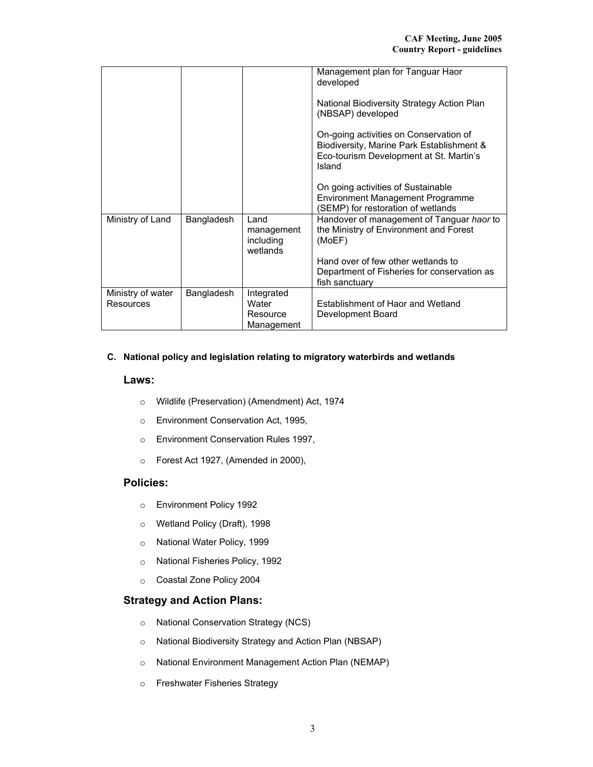|                   |            |                       | Management plan for Tanguar Haor                                                     |
|-------------------|------------|-----------------------|--------------------------------------------------------------------------------------|
|                   |            |                       | developed                                                                            |
|                   |            |                       |                                                                                      |
|                   |            |                       | National Biodiversity Strategy Action Plan                                           |
|                   |            |                       | (NBSAP) developed                                                                    |
|                   |            |                       |                                                                                      |
|                   |            |                       | On-going activities on Conservation of                                               |
|                   |            |                       | Biodiversity, Marine Park Establishment &<br>Eco-tourism Development at St. Martin's |
|                   |            |                       | Island                                                                               |
|                   |            |                       |                                                                                      |
|                   |            |                       | On going activities of Sustainable                                                   |
|                   |            |                       | <b>Environment Management Programme</b>                                              |
|                   |            |                       | (SEMP) for restoration of wetlands                                                   |
| Ministry of Land  | Bangladesh | Land                  | Handover of management of Tanguar haor to                                            |
|                   |            | management            | the Ministry of Environment and Forest                                               |
|                   |            | including<br>wetlands | (MoEF)                                                                               |
|                   |            |                       | Hand over of few other wetlands to                                                   |
|                   |            |                       | Department of Fisheries for conservation as                                          |
|                   |            |                       | fish sanctuary                                                                       |
| Ministry of water | Bangladesh | Integrated            |                                                                                      |
| Resources         |            | Water                 | Establishment of Haor and Wetland                                                    |
|                   |            | Resource              | Development Board                                                                    |
|                   |            | Management            |                                                                                      |

## **C. National policy and legislation relating to migratory waterbirds and wetlands**

#### **Laws:**

- o Wildlife (Preservation) (Amendment) Act, 1974
- o Environment Conservation Act, 1995,
- o Environment Conservation Rules 1997,
- o Forest Act 1927, (Amended in 2000),

# **Policies:**

- o Environment Policy 1992
- o Wetland Policy (Draft), 1998
- o National Water Policy, 1999
- o National Fisheries Policy, 1992
- o Coastal Zone Policy 2004

## **Strategy and Action Plans:**

- o National Conservation Strategy (NCS)
- o National Biodiversity Strategy and Action Plan (NBSAP)
- o National Environment Management Action Plan (NEMAP)
- o Freshwater Fisheries Strategy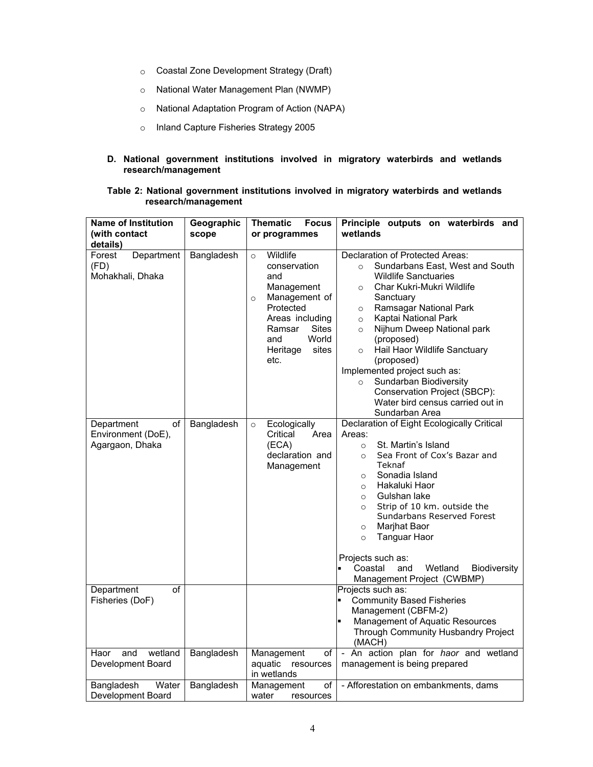- o Coastal Zone Development Strategy (Draft)
- o National Water Management Plan (NWMP)
- o National Adaptation Program of Action (NAPA)
- o Inland Capture Fisheries Strategy 2005
- **D. National government institutions involved in migratory waterbirds and wetlands research/management**

#### **Table 2: National government institutions involved in migratory waterbirds and wetlands research/management**

| <b>Name of Institution</b>                                | Geographic | <b>Focus</b><br>Thematic                                                                                                                                                                    | Principle outputs on waterbirds and                                                                                                                                                                                                                                                                                                                                                                                                                                                                                  |
|-----------------------------------------------------------|------------|---------------------------------------------------------------------------------------------------------------------------------------------------------------------------------------------|----------------------------------------------------------------------------------------------------------------------------------------------------------------------------------------------------------------------------------------------------------------------------------------------------------------------------------------------------------------------------------------------------------------------------------------------------------------------------------------------------------------------|
| (with contact                                             | scope      | or programmes                                                                                                                                                                               | wetlands                                                                                                                                                                                                                                                                                                                                                                                                                                                                                                             |
| details)                                                  |            |                                                                                                                                                                                             |                                                                                                                                                                                                                                                                                                                                                                                                                                                                                                                      |
| Department<br>Forest<br>(FD)<br>Mohakhali, Dhaka          | Bangladesh | Wildlife<br>$\circ$<br>conservation<br>and<br>Management<br>Management of<br>$\circ$<br>Protected<br>Areas including<br><b>Sites</b><br>Ramsar<br>World<br>and<br>sites<br>Heritage<br>etc. | Declaration of Protected Areas:<br>Sundarbans East, West and South<br>$\circ$<br><b>Wildlife Sanctuaries</b><br>Char Kukri-Mukri Wildlife<br>$\circ$<br>Sanctuary<br>Ramsagar National Park<br>$\circ$<br>Kaptai National Park<br>$\circ$<br>Nijhum Dweep National park<br>$\circ$<br>(proposed)<br>Hail Haor Wildlife Sanctuary<br>$\circ$<br>(proposed)<br>Implemented project such as:<br>Sundarban Biodiversity<br>$\circ$<br>Conservation Project (SBCP):<br>Water bird census carried out in<br>Sundarban Area |
| Department<br>of<br>Environment (DoE),<br>Agargaon, Dhaka | Bangladesh | Ecologically<br>$\circ$<br>Critical<br>Area<br>(ECA)<br>declaration and<br>Management                                                                                                       | Declaration of Eight Ecologically Critical<br>Areas:<br>St. Martin's Island<br>$\circ$<br>Sea Front of Cox's Bazar and<br>$\circ$<br>Teknaf<br>Sonadia Island<br>$\circ$<br>Hakaluki Haor<br>$\circ$<br>Gulshan lake<br>$\circ$<br>Strip of 10 km. outside the<br>$\circ$<br>Sundarbans Reserved Forest<br>Marjhat Baor<br>$\circ$<br><b>Tanguar Haor</b><br>$\circ$<br>Projects such as:<br>Coastal<br>and<br>Wetland<br><b>Biodiversity</b><br>Management Project (CWBMP)                                          |
| Department<br>Ωf<br>Fisheries (DoF)                       |            |                                                                                                                                                                                             | Projects such as:<br><b>Community Based Fisheries</b><br>Management (CBFM-2)<br>Management of Aquatic Resources<br>Through Community Husbandry Project<br>(MACH)                                                                                                                                                                                                                                                                                                                                                     |
| and<br>wetland<br>Haor<br>Development Board               | Bangladesh | Management<br>of<br>aquatic resources<br>in wetlands                                                                                                                                        | - An action plan for haor and wetland<br>management is being prepared                                                                                                                                                                                                                                                                                                                                                                                                                                                |
| Water<br>Bangladesh<br>Development Board                  | Bangladesh | Management<br>οf<br>water<br>resources                                                                                                                                                      | - Afforestation on embankments, dams                                                                                                                                                                                                                                                                                                                                                                                                                                                                                 |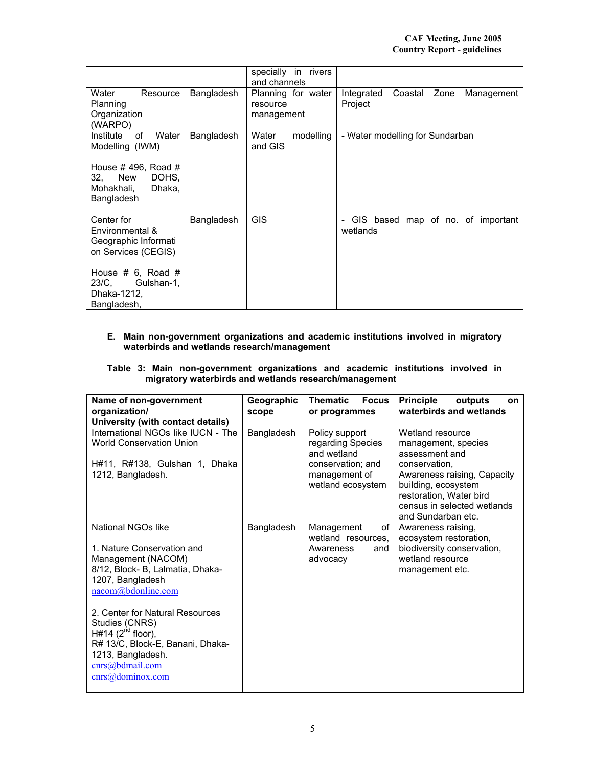|                                                                                                                                                               |            | specially<br>in rivers<br>and channels       |                                                        |
|---------------------------------------------------------------------------------------------------------------------------------------------------------------|------------|----------------------------------------------|--------------------------------------------------------|
| Water<br>Resource<br>Planning<br>Organization<br>(WARPO)                                                                                                      | Bangladesh | Planning for water<br>resource<br>management | Coastal<br>Integrated<br>Zone<br>Management<br>Project |
| of<br>Water<br>Institute<br>Modelling (IWM)<br>House $\#$ 496, Road $\#$<br>New<br>DOHS.<br>32.<br>Dhaka,<br>Mohakhali,<br>Bangladesh                         | Bangladesh | Water<br>modelling<br>and GIS                | - Water modelling for Sundarban                        |
| Center for<br>Environmental &<br>Geographic Informati<br>on Services (CEGIS)<br>House $# 6$ , Road $# 6$<br>23/C.<br>Gulshan-1,<br>Dhaka-1212,<br>Bangladesh, | Bangladesh | <b>GIS</b>                                   | map of no. of important<br>- GIS based<br>wetlands     |

## **E. Main non-government organizations and academic institutions involved in migratory waterbirds and wetlands research/management**

#### **Table 3: Main non-government organizations and academic institutions involved in migratory waterbirds and wetlands research/management**

| Geographic<br>scope | <b>Thematic</b><br><b>Focus</b><br>or programmes        | <b>Principle</b><br>outputs<br>on<br>waterbirds and wetlands                                                                                        |
|---------------------|---------------------------------------------------------|-----------------------------------------------------------------------------------------------------------------------------------------------------|
| Bangladesh          | Policy support<br>regarding Species<br>and wetland      | Wetland resource<br>management, species<br>assessment and                                                                                           |
|                     | conservation; and<br>management of<br>wetland ecosystem | conservation.<br>Awareness raising, Capacity<br>building, ecosystem<br>restoration, Water bird<br>census in selected wetlands<br>and Sundarban etc. |
| Bangladesh          | Management<br>οf                                        | Awareness raising,<br>ecosystem restoration,                                                                                                        |
|                     | Awareness<br>and<br>advocacy                            | biodiversity conservation,<br>wetland resource<br>management etc.                                                                                   |
|                     |                                                         |                                                                                                                                                     |
|                     |                                                         | wetland resources.                                                                                                                                  |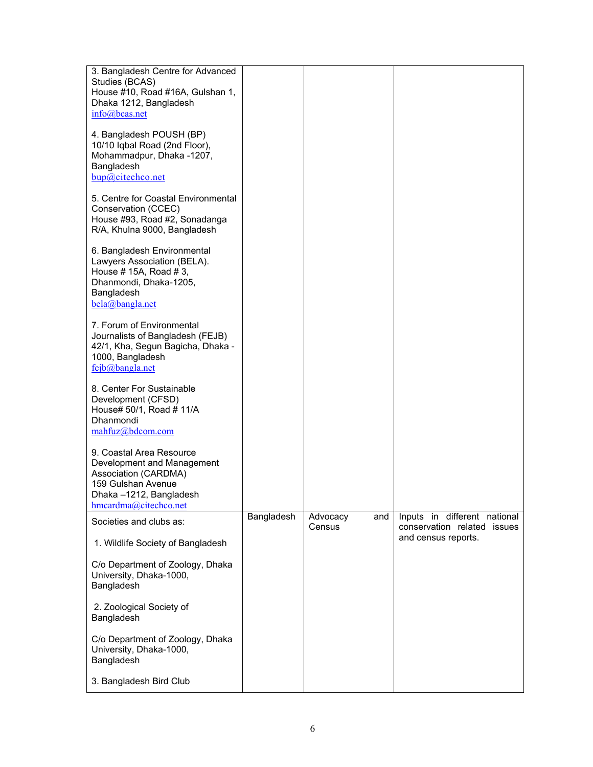| 3. Bangladesh Centre for Advanced<br>Studies (BCAS)<br>House #10, Road #16A, Gulshan 1,<br>Dhaka 1212, Bangladesh<br>info@bcas.net                      |            |                           |                                                             |
|---------------------------------------------------------------------------------------------------------------------------------------------------------|------------|---------------------------|-------------------------------------------------------------|
| 4. Bangladesh POUSH (BP)<br>10/10 Iqbal Road (2nd Floor),<br>Mohammadpur, Dhaka -1207,<br>Bangladesh<br>bup@citechco.net                                |            |                           |                                                             |
| 5. Centre for Coastal Environmental<br>Conservation (CCEC)<br>House #93, Road #2, Sonadanga<br>R/A, Khulna 9000, Bangladesh                             |            |                           |                                                             |
| 6. Bangladesh Environmental<br>Lawyers Association (BELA).<br>House # 15A, Road # 3,<br>Dhanmondi, Dhaka-1205,<br>Bangladesh<br>bela@bangla.net         |            |                           |                                                             |
| 7. Forum of Environmental<br>Journalists of Bangladesh (FEJB)<br>42/1, Kha, Segun Bagicha, Dhaka -<br>1000, Bangladesh<br>fejb@bangla.net               |            |                           |                                                             |
| 8. Center For Sustainable<br>Development (CFSD)<br>House# 50/1, Road # 11/A<br>Dhanmondi<br>mahfuz@bdcom.com                                            |            |                           |                                                             |
| 9. Coastal Area Resource<br>Development and Management<br>Association (CARDMA)<br>159 Gulshan Avenue<br>Dhaka-1212, Bangladesh<br>hmcardma@citechco.net |            |                           |                                                             |
| Societies and clubs as:                                                                                                                                 | Bangladesh | Advocacy<br>and<br>Census | Inputs in different national<br>conservation related issues |
| 1. Wildlife Society of Bangladesh                                                                                                                       |            |                           | and census reports.                                         |
| C/o Department of Zoology, Dhaka<br>University, Dhaka-1000,<br>Bangladesh                                                                               |            |                           |                                                             |
| 2. Zoological Society of<br>Bangladesh                                                                                                                  |            |                           |                                                             |
| C/o Department of Zoology, Dhaka<br>University, Dhaka-1000,<br>Bangladesh                                                                               |            |                           |                                                             |
| 3. Bangladesh Bird Club                                                                                                                                 |            |                           |                                                             |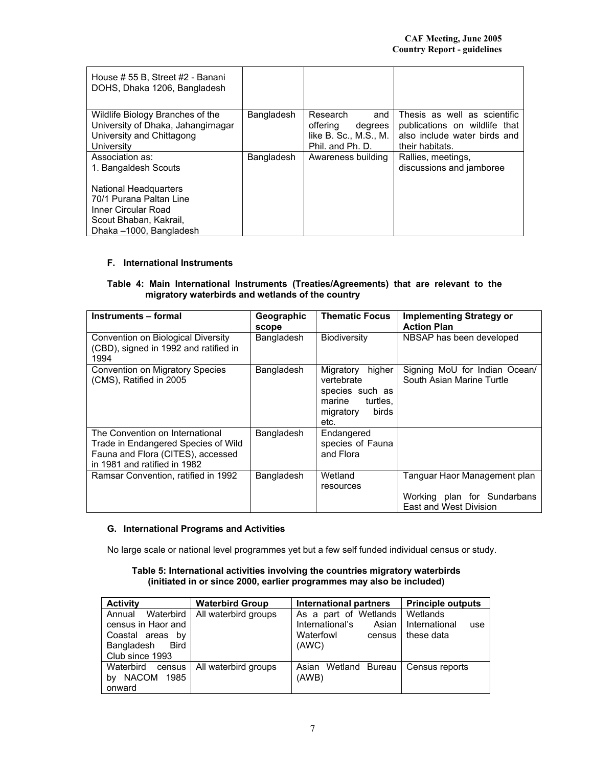| House # 55 B, Street #2 - Banani<br>DOHS, Dhaka 1206, Bangladesh                                                  |            |                                                                                     |                                                                                                                  |
|-------------------------------------------------------------------------------------------------------------------|------------|-------------------------------------------------------------------------------------|------------------------------------------------------------------------------------------------------------------|
| Wildlife Biology Branches of the<br>University of Dhaka, Jahangirnagar<br>University and Chittagong<br>University | Bangladesh | Research<br>and<br>offering<br>degrees<br>like B. Sc., M.S., M.<br>Phil. and Ph. D. | Thesis as well as scientific<br>publications on wildlife that<br>also include water birds and<br>their habitats. |
| Association as:<br>1. Bangaldesh Scouts                                                                           | Bangladesh | Awareness building                                                                  | Rallies, meetings,<br>discussions and jamboree                                                                   |
| <b>National Headquarters</b>                                                                                      |            |                                                                                     |                                                                                                                  |
| 70/1 Purana Paltan Line                                                                                           |            |                                                                                     |                                                                                                                  |
| Inner Circular Road                                                                                               |            |                                                                                     |                                                                                                                  |
| Scout Bhaban, Kakrail,                                                                                            |            |                                                                                     |                                                                                                                  |
| Dhaka -1000, Bangladesh                                                                                           |            |                                                                                     |                                                                                                                  |

#### **F. International Instruments**

## **Table 4: Main International Instruments (Treaties/Agreements) that are relevant to the migratory waterbirds and wetlands of the country**

| Instruments - formal                                                                                                                        | Geographic<br>scope | <b>Thematic Focus</b>                                                                                    | <b>Implementing Strategy or</b><br><b>Action Plan</b>                                 |
|---------------------------------------------------------------------------------------------------------------------------------------------|---------------------|----------------------------------------------------------------------------------------------------------|---------------------------------------------------------------------------------------|
| Convention on Biological Diversity<br>(CBD), signed in 1992 and ratified in<br>1994                                                         | Bangladesh          | <b>Biodiversity</b>                                                                                      | NBSAP has been developed                                                              |
| Convention on Migratory Species<br>(CMS), Ratified in 2005                                                                                  | Bangladesh          | Migratory<br>higher<br>vertebrate<br>species such as<br>marine<br>turtles.<br>migratory<br>birds<br>etc. | Signing MoU for Indian Ocean/<br>South Asian Marine Turtle                            |
| The Convention on International<br>Trade in Endangered Species of Wild<br>Fauna and Flora (CITES), accessed<br>in 1981 and ratified in 1982 | Bangladesh          | Endangered<br>species of Fauna<br>and Flora                                                              |                                                                                       |
| Ramsar Convention, ratified in 1992                                                                                                         | Bangladesh          | Wetland<br>resources                                                                                     | Tanguar Haor Management plan<br>Working plan for Sundarbans<br>East and West Division |

## **G. International Programs and Activities**

No large scale or national level programmes yet but a few self funded individual census or study.

#### **Table 5: International activities involving the countries migratory waterbirds (initiated in or since 2000, earlier programmes may also be included)**

| <b>Activity</b>                                                                                     | <b>Waterbird Group</b> | <b>International partners</b>                                                     | <b>Principle outputs</b>                       |
|-----------------------------------------------------------------------------------------------------|------------------------|-----------------------------------------------------------------------------------|------------------------------------------------|
| Waterbird<br>Annual<br>census in Haor and<br>Coastal areas by<br>Bangladesh Bird<br>Club since 1993 | All waterbird groups   | As a part of Wetlands<br>International's<br>Asian<br>Waterfowl<br>census<br>(AWC) | Wetlands<br>International<br>use<br>these data |
| Waterbird census<br>NACOM 1985<br>bv<br>onward                                                      | All waterbird groups   | Wetland Bureau<br>Asian<br>(AWB)                                                  | Census reports                                 |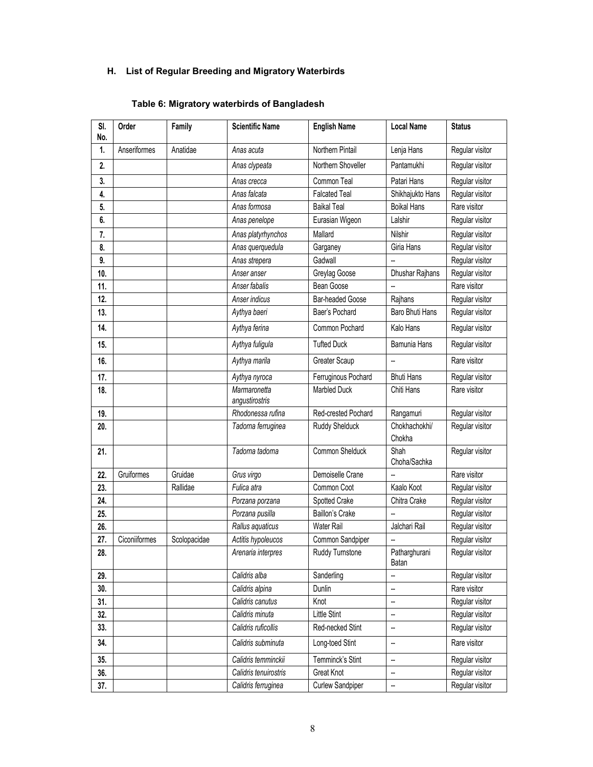# **H. List of Regular Breeding and Migratory Waterbirds**

# **Table 6: Migratory waterbirds of Bangladesh**

| SI.<br>No. | Order         | Family       | <b>Scientific Name</b>         | <b>English Name</b>  | <b>Local Name</b>      | <b>Status</b>   |
|------------|---------------|--------------|--------------------------------|----------------------|------------------------|-----------------|
| 1.         | Anseriformes  | Anatidae     | Anas acuta                     | Northern Pintail     | Lenja Hans             | Regular visitor |
| 2.         |               |              | Anas clypeata                  | Northern Shoveller   | Pantamukhi             | Regular visitor |
| 3.         |               |              | Anas crecca                    | Common Teal          | Patari Hans            | Regular visitor |
| 4.         |               |              | Anas falcata                   | <b>Falcated Teal</b> | Shikhajukto Hans       | Regular visitor |
| 5.         |               |              | Anas formosa                   | <b>Baikal Teal</b>   | <b>Boikal Hans</b>     | Rare visitor    |
| 6.         |               |              | Anas penelope                  | Eurasian Wigeon      | Lalshir                | Regular visitor |
| 7.         |               |              | Anas platyrhynchos             | Mallard              | Nilshir                | Regular visitor |
| 8.         |               |              | Anas querquedula               | Garganey             | Giria Hans             | Regular visitor |
| 9.         |               |              | Anas strepera                  | Gadwall              | --                     | Regular visitor |
| 10.        |               |              | Anser anser                    | Greylag Goose        | Dhushar Rajhans        | Regular visitor |
| 11.        |               |              | Anser fabalis                  | Bean Goose           |                        | Rare visitor    |
| 12.        |               |              | Anser indicus                  | Bar-headed Goose     | Rajhans                | Regular visitor |
| 13.        |               |              | Aythya baeri                   | Baer's Pochard       | Baro Bhuti Hans        | Regular visitor |
| 14.        |               |              | Aythya ferina                  | Common Pochard       | Kalo Hans              | Regular visitor |
| 15.        |               |              | Aythya fuligula                | <b>Tufted Duck</b>   | Bamunia Hans           | Regular visitor |
| 16.        |               |              | Aythya marila                  | Greater Scaup        | --                     | Rare visitor    |
| 17.        |               |              | Aythya nyroca                  | Ferruginous Pochard  | <b>Bhuti Hans</b>      | Regular visitor |
| 18.        |               |              | Marmaronetta<br>angustirostris | <b>Marbled Duck</b>  | Chiti Hans             | Rare visitor    |
| 19.        |               |              | Rhodonessa rufina              | Red-crested Pochard  | Rangamuri              | Regular visitor |
| 20.        |               |              | Tadorna ferruginea             | Ruddy Shelduck       | Chokhachokhi/          | Regular visitor |
|            |               |              |                                |                      | Chokha                 |                 |
| 21.        |               |              | Tadorna tadorna                | Common Shelduck      | Shah<br>Choha/Sachka   | Regular visitor |
| 22.        | Gruiformes    | Gruidae      | Grus virgo                     | Demoiselle Crane     |                        | Rare visitor    |
| 23.        |               | Rallidae     | Fulica atra                    | Common Coot          | Kaalo Koot             | Regular visitor |
| 24.        |               |              | Porzana porzana                | Spotted Crake        | Chitra Crake           | Regular visitor |
| 25.        |               |              | Porzana pusilla                | Baillon's Crake      | --                     | Regular visitor |
| 26.        |               |              | Rallus aquaticus               | Water Rail           | Jalchari Rail          | Regular visitor |
| 27.        | Ciconiiformes | Scolopacidae | Actitis hypoleucos             | Common Sandpiper     |                        | Regular visitor |
| 28.        |               |              | Arenaria interpres             | Ruddy Turnstone      | Patharghurani<br>Batan | Regular visitor |
| 29.        |               |              | Calidris alba                  | Sanderling           |                        | Regular visitor |
| 30.        |               |              | Calidris alpina                | Dunlin               | --                     | Rare visitor    |
| 31.        |               |              | Calidris canutus               | Knot                 |                        | Regular visitor |
| 32.        |               |              | Calidris minuta                | Little Stint         |                        | Regular visitor |
| 33.        |               |              | Calidris ruficollis            | Red-necked Stint     | --                     | Regular visitor |
| 34.        |               |              | Calidris subminuta             | Long-toed Stint      | --                     | Rare visitor    |
| 35.        |               |              | Calidris temminckii            | Temminck's Stint     | --                     | Regular visitor |
| 36.        |               |              | Calidris tenuirostris          | Great Knot           | --                     | Regular visitor |
| 37.        |               |              | Calidris ferruginea            | Curlew Sandpiper     | --                     | Regular visitor |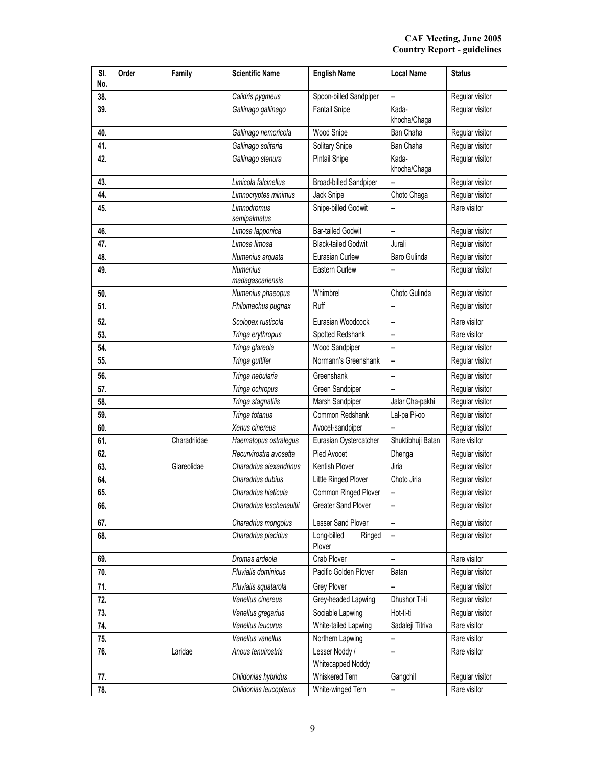| SI.<br>No. | Order | Family       | <b>Scientific Name</b>              | <b>English Name</b>                 | <b>Local Name</b>     | <b>Status</b>   |
|------------|-------|--------------|-------------------------------------|-------------------------------------|-----------------------|-----------------|
| 38.        |       |              | Calidris pygmeus                    | Spoon-billed Sandpiper              | --                    | Regular visitor |
| 39.        |       |              | Gallinago gallinago                 | <b>Fantail Snipe</b>                | Kada-<br>khocha/Chaga | Regular visitor |
| 40.        |       |              | Gallinago nemoricola                | Wood Snipe                          | Ban Chaha             | Regular visitor |
| 41.        |       |              | Gallinago solitaria                 | Solitary Snipe                      | Ban Chaha             | Regular visitor |
| 42.        |       |              | Gallinago stenura                   | Pintail Snipe                       | Kada-<br>khocha/Chaga | Regular visitor |
| 43.        |       |              | Limicola falcinellus                | <b>Broad-billed Sandpiper</b>       | --                    | Regular visitor |
| 44.        |       |              | Limnocryptes minimus                | Jack Snipe                          | Choto Chaga           | Regular visitor |
| 45.        |       |              | Limnodromus<br>semipalmatus         | Snipe-billed Godwit                 | --                    | Rare visitor    |
| 46.        |       |              | Limosa lapponica                    | <b>Bar-tailed Godwit</b>            | --                    | Regular visitor |
| 47.        |       |              | Limosa limosa                       | <b>Black-tailed Godwit</b>          | Jurali                | Regular visitor |
| 48.        |       |              | Numenius arquata                    | Eurasian Curlew                     | Baro Gulinda          | Regular visitor |
| 49.        |       |              | <b>Numenius</b><br>madagascariensis | Eastern Curlew                      | --                    | Regular visitor |
| 50.        |       |              | Numenius phaeopus                   | Whimbrel                            | Choto Gulinda         | Regular visitor |
| 51.        |       |              | Philomachus pugnax                  | Ruff                                | --                    | Regular visitor |
| 52.        |       |              | Scolopax rusticola                  | Eurasian Woodcock                   | --                    | Rare visitor    |
| 53.        |       |              | Tringa erythropus                   | Spotted Redshank                    | --                    | Rare visitor    |
| 54.        |       |              | Tringa glareola                     | Wood Sandpiper                      | --                    | Regular visitor |
| 55.        |       |              | Tringa guttifer                     | Normann's Greenshank                | --                    | Regular visitor |
| 56.        |       |              | Tringa nebularia                    | Greenshank                          | --                    | Regular visitor |
| 57.        |       |              | Tringa ochropus                     | Green Sandpiper                     | --                    | Regular visitor |
| 58.        |       |              | Tringa stagnatilis                  | Marsh Sandpiper                     | Jalar Cha-pakhi       | Regular visitor |
| 59.        |       |              | Tringa totanus                      | Common Redshank                     | Lal-pa Pi-oo          | Regular visitor |
| 60.        |       |              | Xenus cinereus                      | Avocet-sandpiper                    |                       | Regular visitor |
| 61.        |       | Charadriidae | Haematopus ostralegus               | Eurasian Oystercatcher              | Shuktibhuji Batan     | Rare visitor    |
| 62.        |       |              | Recurvirostra avosetta              | Pied Avocet                         | Dhenga                | Regular visitor |
| 63.        |       | Glareolidae  | Charadrius alexandrinus             | Kentish Plover                      | Jiria                 | Regular visitor |
| 64.        |       |              | Charadrius dubius                   | Little Ringed Plover                | Choto Jiria           | Regular visitor |
| 65.        |       |              | Charadrius hiaticula                | Common Ringed Plover                |                       | Regular visitor |
| 66.        |       |              | Charadrius leschenaultii            | Greater Sand Plover                 | --                    | Regular visitor |
| 67.        |       |              | Charadrius mongolus                 | Lesser Sand Plover                  | --                    | Regular visitor |
| 68.        |       |              | Charadrius placidus                 | Long-billed<br>Ringed<br>Plover     | --                    | Regular visitor |
| 69.        |       |              | Dromas ardeola                      | Crab Plover                         | --                    | Rare visitor    |
| 70.        |       |              | Pluvialis dominicus                 | Pacific Golden Plover               | Batan                 | Regular visitor |
| 71.        |       |              | Pluvialis squatarola                | <b>Grey Plover</b>                  | ÷,                    | Regular visitor |
| 72.        |       |              | Vanellus cinereus                   | Grey-headed Lapwing                 | Dhushor Ti-ti         | Regular visitor |
| 73.        |       |              | Vanellus gregarius                  | Sociable Lapwing                    | Hot-ti-ti             | Regular visitor |
| 74.        |       |              | Vanellus leucurus                   | White-tailed Lapwing                | Sadaleji Titriva      | Rare visitor    |
| 75.        |       |              | Vanellus vanellus                   | Northern Lapwing                    | --                    | Rare visitor    |
| 76.        |       | Laridae      | Anous tenuirostris                  | Lesser Noddy /<br>Whitecapped Noddy |                       | Rare visitor    |
| 77.        |       |              | Chlidonias hybridus                 | Whiskered Tern                      | Gangchil              | Regular visitor |
| 78.        |       |              | Chlidonias leucopterus              | White-winged Tern                   | --                    | Rare visitor    |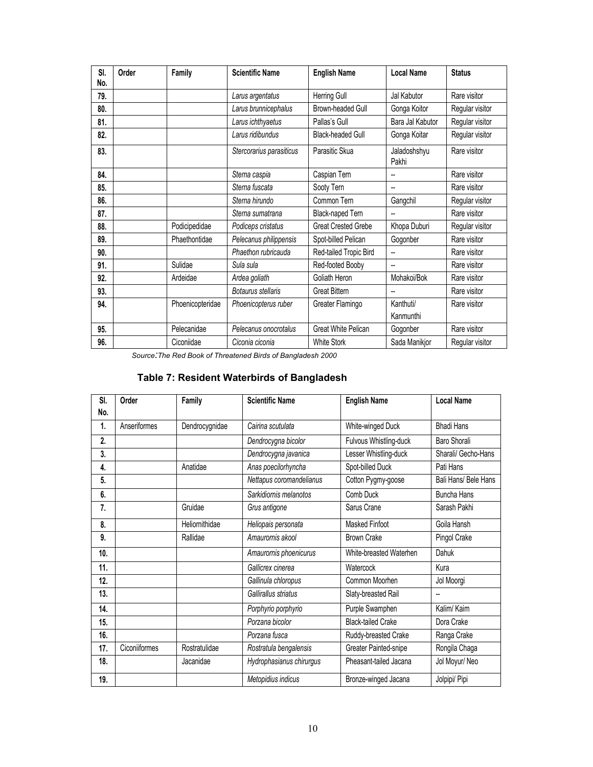| SI. | Order | Family           | <b>Scientific Name</b>   | <b>English Name</b>        | <b>Local Name</b>     | <b>Status</b>   |
|-----|-------|------------------|--------------------------|----------------------------|-----------------------|-----------------|
| No. |       |                  |                          |                            |                       |                 |
| 79. |       |                  | Larus argentatus         | Herring Gull               | Jal Kabutor           | Rare visitor    |
| 80. |       |                  | Larus brunnicephalus     | Brown-headed Gull          | Gonga Koitor          | Regular visitor |
| 81. |       |                  | Larus ichthyaetus        | Pallas's Gull              | Bara Jal Kabutor      | Regular visitor |
| 82. |       |                  | Larus ridibundus         | <b>Black-headed Gull</b>   | Gonga Koitar          | Regular visitor |
| 83. |       |                  | Stercorarius parasiticus | Parasitic Skua             | Jaladoshshyu<br>Pakhi | Rare visitor    |
| 84. |       |                  | Sterna caspia            | Caspian Tern               | --                    | Rare visitor    |
| 85. |       |                  | Sterna fuscata           | Sooty Tern                 | --                    | Rare visitor    |
| 86. |       |                  | Sterna hirundo           | Common Tern                | Gangchil              | Regular visitor |
| 87. |       |                  | Sterna sumatrana         | Black-naped Tern           | --                    | Rare visitor    |
| 88. |       | Podicipedidae    | Podiceps cristatus       | <b>Great Crested Grebe</b> | Khopa Duburi          | Regular visitor |
| 89. |       | Phaethontidae    | Pelecanus philippensis   | Spot-billed Pelican        | Gogonber              | Rare visitor    |
| 90. |       |                  | Phaethon rubricauda      | Red-tailed Tropic Bird     |                       | Rare visitor    |
| 91. |       | Sulidae          | Sula sula                | Red-footed Booby           | --                    | Rare visitor    |
| 92. |       | Ardeidae         | Ardea goliath            | Goliath Heron              | Mohakoi/Bok           | Rare visitor    |
| 93. |       |                  | Botaurus stellaris       | <b>Great Bittern</b>       | --                    | Rare visitor    |
| 94. |       | Phoenicopteridae | Phoenicopterus ruber     | Greater Flamingo           | Kanthuti/             | Rare visitor    |
|     |       |                  |                          |                            | Kanmunthi             |                 |
| 95. |       | Pelecanidae      | Pelecanus onocrotalus    | Great White Pelican        | Gogonber              | Rare visitor    |
| 96. |       | Ciconiidae       | Ciconia ciconia          | <b>White Stork</b>         | Sada Manikjor         | Regular visitor |

*Source:The Red Book of Threatened Birds of Bangladesh 2000* 

# **Table 7: Resident Waterbirds of Bangladesh**

| SI.<br>No. | Order         | Family         | <b>Scientific Name</b>   | <b>English Name</b>       | <b>Local Name</b>    |
|------------|---------------|----------------|--------------------------|---------------------------|----------------------|
|            |               |                |                          |                           |                      |
| 1.         | Anseriformes  | Dendrocygnidae | Cairina scutulata        | White-winged Duck         | <b>Bhadi Hans</b>    |
| 2.         |               |                | Dendrocygna bicolor      | Fulvous Whistling-duck    | Baro Shorali         |
| 3.         |               |                | Dendrocygna javanica     | Lesser Whistling-duck     | Sharali/ Gecho-Hans  |
| 4.         |               | Anatidae       | Anas poecilorhyncha      | Spot-billed Duck          | Pati Hans            |
| 5.         |               |                | Nettapus coromandelianus | Cotton Pygmy-goose        | Bali Hans/ Bele Hans |
| 6.         |               |                | Sarkidiornis melanotos   | Comb Duck                 | <b>Buncha Hans</b>   |
| 7.         |               | Gruidae        | Grus antigone            | Sarus Crane               | Sarash Pakhi         |
| 8.         |               | Heliornithidae | Heliopais personata      | <b>Masked Finfoot</b>     | Goila Hansh          |
| 9.         |               | Rallidae       | Amaurornis akool         | <b>Brown Crake</b>        | Pingol Crake         |
| 10.        |               |                | Amaurornis phoenicurus   | White-breasted Waterhen   | Dahuk                |
| 11.        |               |                | Gallicrex cinerea        | Watercock                 | Kura                 |
| 12.        |               |                | Gallinula chloropus      | Common Moorhen            | Jol Moorgi           |
| 13.        |               |                | Gallirallus striatus     | Slaty-breasted Rail       | -−                   |
| 14.        |               |                | Porphyrio porphyrio      | Purple Swamphen           | Kalim/ Kaim          |
| 15.        |               |                | Porzana bicolor          | <b>Black-tailed Crake</b> | Dora Crake           |
| 16.        |               |                | Porzana fusca            | Ruddy-breasted Crake      | Ranga Crake          |
| 17.        | Ciconiiformes | Rostratulidae  | Rostratula bengalensis   | Greater Painted-snipe     | Rongila Chaga        |
| 18.        |               | Jacanidae      | Hydrophasianus chirurgus | Pheasant-tailed Jacana    | Jol Moyur/ Neo       |
| 19.        |               |                | Metopidius indicus       | Bronze-winged Jacana      | Jolpipi/ Pipi        |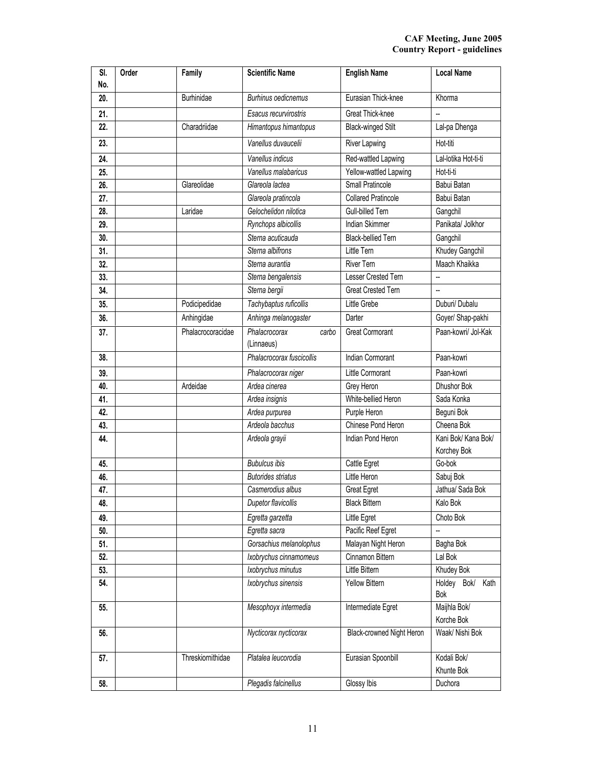| SI.<br>No. | Order | Family            | <b>Scientific Name</b>               | <b>English Name</b>        | <b>Local Name</b>                  |
|------------|-------|-------------------|--------------------------------------|----------------------------|------------------------------------|
| 20.        |       | <b>Burhinidae</b> | <b>Burhinus oedicnemus</b>           | Eurasian Thick-knee        | Khorma                             |
| 21.        |       |                   | Esacus recurvirostris                | Great Thick-knee           |                                    |
| 22.        |       | Charadriidae      | Himantopus himantopus                | <b>Black-winged Stilt</b>  | Lal-pa Dhenga                      |
| 23.        |       |                   | Vanellus duvaucelii                  | River Lapwing              | Hot-titi                           |
| 24.        |       |                   | Vanellus indicus                     | Red-wattled Lapwing        | Lal-lotika Hot-ti-ti               |
| 25.        |       |                   | Vanellus malabaricus                 | Yellow-wattled Lapwing     | Hot-ti-ti                          |
| 26.        |       | Glareolidae       | Glareola lactea                      | Small Pratincole           | Babui Batan                        |
| 27.        |       |                   | Glareola pratincola                  | <b>Collared Pratincole</b> | Babui Batan                        |
| 28.        |       | Laridae           | Gelochelidon nilotica                | Gull-billed Tern           | Gangchil                           |
| 29.        |       |                   | Rynchops albicollis                  | Indian Skimmer             | Panikata/ Jolkhor                  |
| 30.        |       |                   | Sterna acuticauda                    | <b>Black-bellied Tern</b>  | Gangchil                           |
| 31.        |       |                   | Sterna albifrons                     | Little Tern                | Khudey Gangchil                    |
| 32.        |       |                   | Sterna aurantia                      | <b>River Tern</b>          | Maach Khaikka                      |
| 33.        |       |                   | Sterna bengalensis                   | Lesser Crested Tern        | −−                                 |
| 34.        |       |                   | Sterna bergii                        | <b>Great Crested Tern</b>  | L.                                 |
| 35.        |       | Podicipedidae     | Tachybaptus ruficollis               | Little Grebe               | Duburi/ Dubalu                     |
| 36.        |       | Anhingidae        | Anhinga melanogaster                 | Darter                     | Goyer/ Shap-pakhi                  |
| 37.        |       | Phalacrocoracidae | Phalacrocorax<br>carbo<br>(Linnaeus) | <b>Great Cormorant</b>     | Paan-kowri/ Jol-Kak                |
| 38.        |       |                   | Phalacrocorax fuscicollis            | <b>Indian Cormorant</b>    | Paan-kowri                         |
| 39.        |       |                   | Phalacrocorax niger                  | Little Cormorant           | Paan-kowri                         |
| 40.        |       | Ardeidae          | Ardea cinerea                        | Grey Heron                 | Dhushor Bok                        |
| 41.        |       |                   | Ardea insignis                       | White-bellied Heron        | Sada Konka                         |
| 42.        |       |                   | Ardea purpurea                       | Purple Heron               | Beguni Bok                         |
| 43.        |       |                   | Ardeola bacchus                      | Chinese Pond Heron         | Cheena Bok                         |
| 44.        |       |                   | Ardeola grayii                       | Indian Pond Heron          | Kani Bok/ Kana Bok/<br>Korchey Bok |
| 45.        |       |                   | <b>Bubulcus ibis</b>                 | Cattle Egret               | Go-bok                             |
| 46.        |       |                   | <b>Butorides striatus</b>            | Little Heron               | Sabuj Bok                          |
| 47.        |       |                   | Casmerodius albus                    | <b>Great Egret</b>         | Jathua/ Sada Bok                   |
| 48.        |       |                   | Dupetor flavicollis                  | <b>Black Bittern</b>       | Kalo Bok                           |
| 49.        |       |                   | Egretta garzetta                     | Little Egret               | Choto Bok                          |
| 50.        |       |                   | Egretta sacra                        | Pacific Reef Egret         |                                    |
| 51.        |       |                   | Gorsachius melanolophus              | Malayan Night Heron        | Bagha Bok                          |
| 52.        |       |                   | Ixobrychus cinnamomeus               | Cinnamon Bittern           | Lal Bok                            |
| 53.        |       |                   | Ixobrychus minutus                   | Little Bittern             | Khudey Bok                         |
| 54.        |       |                   | Ixobrychus sinensis                  | Yellow Bittern             | Holdey<br>Bok/ Kath<br>Bok         |
| 55.        |       |                   | Mesophoyx intermedia                 | Intermediate Egret         | Maijhla Bok/<br>Korche Bok         |
| 56.        |       |                   | Nycticorax nycticorax                | Black-crowned Night Heron  | Waak/ Nishi Bok                    |
| 57.        |       | Threskiornithidae | Platalea leucorodia                  | Eurasian Spoonbill         | Kodali Bok/<br>Khunte Bok          |
| 58.        |       |                   | Plegadis falcinellus                 | Glossy Ibis                | Duchora                            |
|            |       |                   |                                      |                            |                                    |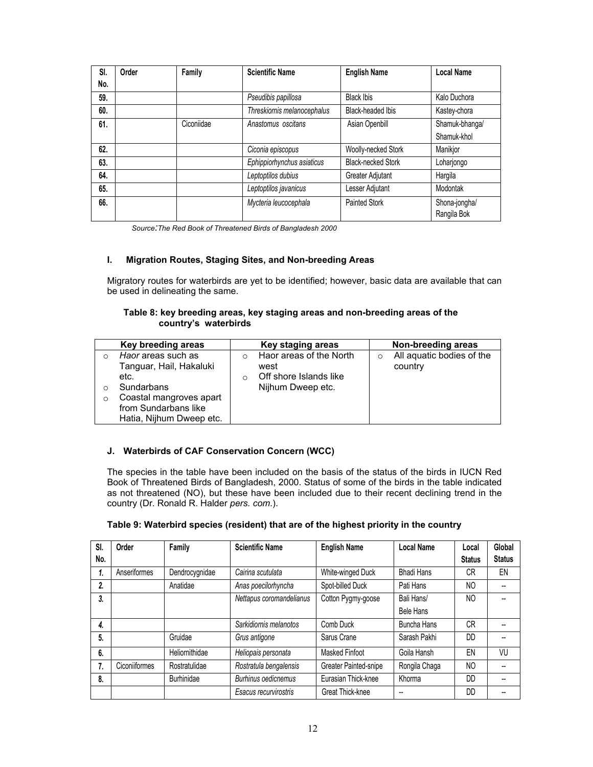| SI. | Order | Family     | <b>Scientific Name</b>      | <b>English Name</b>       | <b>Local Name</b>            |
|-----|-------|------------|-----------------------------|---------------------------|------------------------------|
| No. |       |            |                             |                           |                              |
| 59. |       |            | Pseudibis papillosa         | <b>Black Ibis</b>         | Kalo Duchora                 |
| 60. |       |            | Threskiornis melanocephalus | <b>Black-headed Ibis</b>  | Kastey-chora                 |
| 61. |       | Ciconiidae | Anastomus oscitans          | Asian Openbill            | Shamuk-bhanga/               |
|     |       |            |                             |                           | Shamuk-khol                  |
| 62. |       |            | Ciconia episcopus           | Woolly-necked Stork       | Manikjor                     |
| 63. |       |            | Ephippiorhynchus asiaticus  | <b>Black-necked Stork</b> | Loharjongo                   |
| 64. |       |            | Leptoptilos dubius          | Greater Adjutant          | Hargila                      |
| 65. |       |            | Leptoptilos javanicus       | Lesser Adjutant           | Modontak                     |
| 66. |       |            | Mycteria leucocephala       | <b>Painted Stork</b>      | Shona-jongha/<br>Rangila Bok |

*Source:The Red Book of Threatened Birds of Bangladesh 2000*

#### **I. Migration Routes, Staging Sites, and Non-breeding Areas**

Migratory routes for waterbirds are yet to be identified; however, basic data are available that can be used in delineating the same.

#### **Table 8: key breeding areas, key staging areas and non-breeding areas of the country's waterbirds**

| Key breeding areas                                                                                                     |   | Key staging areas                                                              |   | Non-breeding areas                   |
|------------------------------------------------------------------------------------------------------------------------|---|--------------------------------------------------------------------------------|---|--------------------------------------|
| Haor areas such as<br>Tanguar, Hail, Hakaluki<br>etc.<br>Sundarbans<br>Coastal mangroves apart<br>from Sundarbans like | O | Haor areas of the North<br>west<br>Off shore Islands like<br>Nijhum Dweep etc. | O | All aquatic bodies of the<br>country |
| Hatia, Nijhum Dweep etc.                                                                                               |   |                                                                                |   |                                      |

#### **J. Waterbirds of CAF Conservation Concern (WCC)**

The species in the table have been included on the basis of the status of the birds in IUCN Red Book of Threatened Birds of Bangladesh, 2000. Status of some of the birds in the table indicated as not threatened (NO), but these have been included due to their recent declining trend in the country (Dr. Ronald R. Halder *pers. com*.).

| Table 9: Waterbird species (resident) that are of the highest priority in the country |
|---------------------------------------------------------------------------------------|
|                                                                                       |

| SI. | Order         | Family         | <b>Scientific Name</b>   | <b>English Name</b>   | <b>Local Name</b>  | Local          | Global        |
|-----|---------------|----------------|--------------------------|-----------------------|--------------------|----------------|---------------|
| No. |               |                |                          |                       |                    | <b>Status</b>  | <b>Status</b> |
| 1.  | Anseriformes  | Dendrocygnidae | Cairina scutulata        | White-winged Duck     | <b>Bhadi Hans</b>  | CR             | EN            |
| 2.  |               | Anatidae       | Anas poecilorhyncha      | Spot-billed Duck      | Pati Hans          | NO             |               |
| 3.  |               |                | Nettapus coromandelianus | Cotton Pygmy-goose    | Bali Hans/         | NO             |               |
|     |               |                |                          |                       | Bele Hans          |                |               |
| 4.  |               |                | Sarkidiornis melanotos   | Comb Duck             | <b>Buncha Hans</b> | CR             |               |
| 5.  |               | Gruidae        | Grus antigone            | Sarus Crane           | Sarash Pakhi       | DD             |               |
| 6.  |               | Heliornithidae | Heliopais personata      | Masked Finfoot        | Goila Hansh        | EN             | VU            |
| 7.  | Ciconiiformes | Rostratulidae  | Rostratula bengalensis   | Greater Painted-snipe | Rongila Chaga      | N <sub>O</sub> |               |
| 8.  |               | Burhinidae     | Burhinus oedicnemus      | Eurasian Thick-knee   | Khorma             | DD             |               |
|     |               |                | Esacus recurvirostris    | Great Thick-knee      | --                 | DD             |               |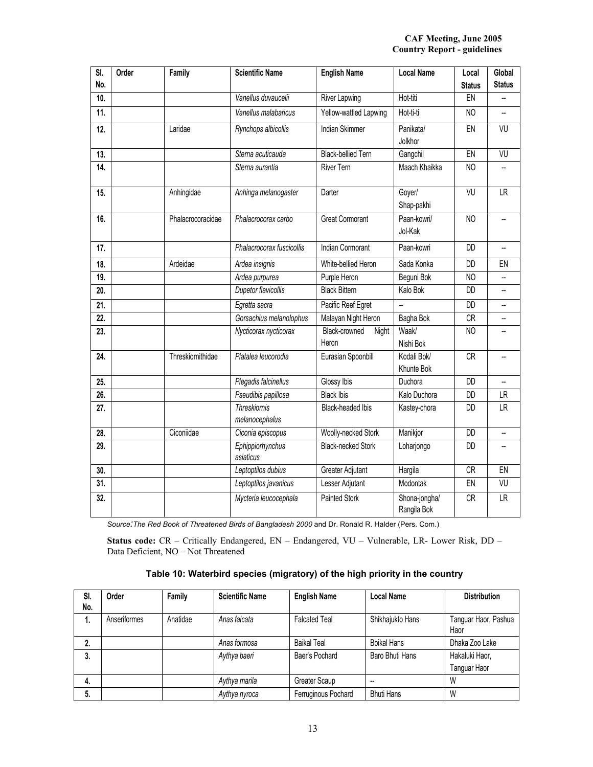#### **CAF Meeting, June 2005 Country Report - guidelines**

| SI.<br>No. | Order | Family            | <b>Scientific Name</b>                | <b>English Name</b>             | <b>Local Name</b>            | Local<br><b>Status</b> | Global<br><b>Status</b> |
|------------|-------|-------------------|---------------------------------------|---------------------------------|------------------------------|------------------------|-------------------------|
| 10.        |       |                   | Vanellus duvaucelii                   | River Lapwing                   | Hot-titi                     | EN                     |                         |
| 11.        |       |                   | Vanellus malabaricus                  | Yellow-wattled Lapwing          | Hot-ti-ti                    | N <sub>O</sub>         | --                      |
| 12.        |       | Laridae           | Rynchops albicollis                   | <b>Indian Skimmer</b>           | Panikata/<br>Jolkhor         | EN                     | VU                      |
| 13.        |       |                   | Sterna acuticauda                     | <b>Black-bellied Tern</b>       | Gangchil                     | EN                     | VU                      |
| 14.        |       |                   | Sterna aurantia                       | <b>River Tern</b>               | Maach Khaikka                | NO                     |                         |
| 15.        |       | Anhingidae        | Anhinga melanogaster                  | Darter                          | Goyer/<br>Shap-pakhi         | VU                     | <b>LR</b>               |
| 16.        |       | Phalacrocoracidae | Phalacrocorax carbo                   | <b>Great Cormorant</b>          | Paan-kowri/<br>Jol-Kak       | N <sub>O</sub>         | u.                      |
| 17.        |       |                   | Phalacrocorax fuscicollis             | <b>Indian Cormorant</b>         | Paan-kowri                   | DD                     |                         |
| 18.        |       | Ardeidae          | Ardea insignis                        | White-bellied Heron             | Sada Konka                   | <b>DD</b>              | EN                      |
| 19.        |       |                   | Ardea purpurea                        | Purple Heron                    | Beguni Bok                   | N <sub>O</sub>         |                         |
| 20.        |       |                   | Dupetor flavicollis                   | <b>Black Bittern</b>            | Kalo Bok                     | DD                     | ш,                      |
| 21.        |       |                   | Egretta sacra                         | Pacific Reef Egret              | $\overline{a}$               | <b>DD</b>              |                         |
| 22.        |       |                   | Gorsachius melanolophus               | Malayan Night Heron             | Bagha Bok                    | CR                     |                         |
| 23.        |       |                   | Nycticorax nycticorax                 | Black-crowned<br>Night<br>Heron | Waak/<br>Nishi Bok           | N <sub>O</sub>         |                         |
| 24.        |       | Threskiornithidae | Platalea leucorodia                   | Eurasian Spoonbill              | Kodali Bok/<br>Khunte Bok    | <b>CR</b>              |                         |
| 25.        |       |                   | Plegadis falcinellus                  | Glossy Ibis                     | Duchora                      | <b>DD</b>              |                         |
| 26.        |       |                   | Pseudibis papillosa                   | <b>Black Ibis</b>               | Kalo Duchora                 | DD                     | LR                      |
| 27.        |       |                   | <b>Threskiornis</b><br>melanocephalus | Black-headed Ibis               | Kastey-chora                 | DD                     | <b>LR</b>               |
| 28.        |       | Ciconiidae        | Ciconia episcopus                     | Woolly-necked Stork             | Manikjor                     | <b>DD</b>              | щ.                      |
| 29.        |       |                   | Ephippiorhynchus<br>asiaticus         | <b>Black-necked Stork</b>       | Loharjongo                   | DD                     |                         |
| 30.        |       |                   | Leptoptilos dubius                    | Greater Adjutant                | Hargila                      | <b>CR</b>              | EN                      |
| 31.        |       |                   | Leptoptilos javanicus                 | Lesser Adjutant                 | Modontak                     | EN                     | VU                      |
| 32.        |       |                   | Mycteria leucocephala                 | <b>Painted Stork</b>            | Shona-jongha/<br>Rangila Bok | <b>CR</b>              | <b>LR</b>               |

*Source:The Red Book of Threatened Birds of Bangladesh 2000* and Dr. Ronald R. Halder (Pers. Com.)

**Status code:** CR – Critically Endangered, EN – Endangered, VU – Vulnerable, LR- Lower Risk, DD – Data Deficient, NO – Not Threatened

| Table 10: Waterbird species (migratory) of the high priority in the country |  |  |  |
|-----------------------------------------------------------------------------|--|--|--|
|                                                                             |  |  |  |

| SI.<br>No. | Order        | Family   | <b>Scientific Name</b> | <b>English Name</b>  | <b>Local Name</b>  | <b>Distribution</b>          |
|------------|--------------|----------|------------------------|----------------------|--------------------|------------------------------|
| 1.         | Anseriformes | Anatidae | Anas falcata           | <b>Falcated Teal</b> | Shikhajukto Hans   | Tanguar Haor, Pashua<br>Haor |
| 2.         |              |          | Anas formosa           | Baikal Teal          | <b>Boikal Hans</b> | Dhaka Zoo Lake               |
| 3.         |              |          | Aythya baeri           | Baer's Pochard       | Baro Bhuti Hans    | Hakaluki Haor,               |
|            |              |          |                        |                      |                    | Tanguar Haor                 |
| 4.         |              |          | Aythya marila          | Greater Scaup        | --                 | W                            |
| 5.         |              |          | Aythya nyroca          | Ferruginous Pochard  | <b>Bhuti Hans</b>  | W                            |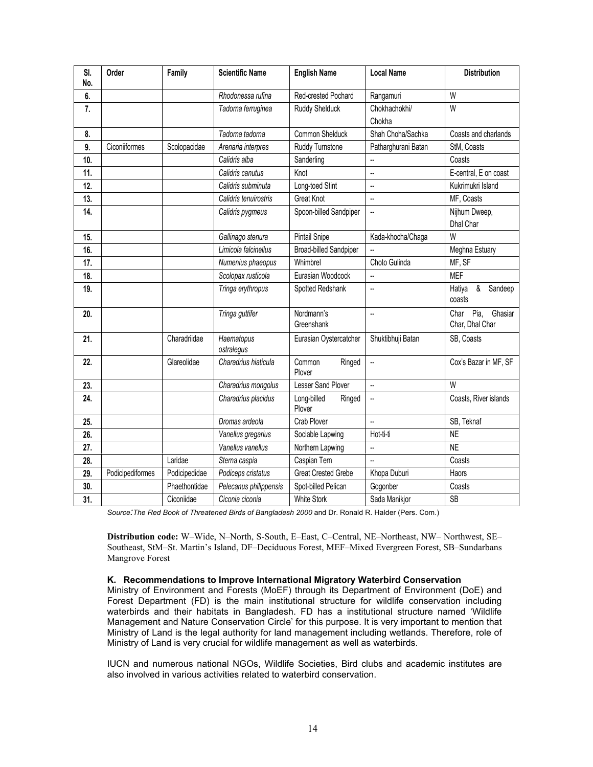| SI.<br>No. | Order            | Family        | <b>Scientific Name</b>   | <b>English Name</b>             | <b>Local Name</b>       | <b>Distribution</b>                        |
|------------|------------------|---------------|--------------------------|---------------------------------|-------------------------|--------------------------------------------|
| 6.         |                  |               | Rhodonessa rufina        | Red-crested Pochard             | Rangamuri               | W                                          |
| 7.         |                  |               | Tadorna ferruginea       | Ruddy Shelduck                  | Chokhachokhi/<br>Chokha | W                                          |
| 8.         |                  |               | Tadorna tadorna          | <b>Common Shelduck</b>          | Shah Choha/Sachka       | Coasts and charlands                       |
| 9.         | Ciconiiformes    | Scolopacidae  | Arenaria interpres       | Ruddy Turnstone                 | Patharghurani Batan     | StM, Coasts                                |
| 10.        |                  |               | Calidris alba            | Sanderling                      | --                      | Coasts                                     |
| 11.        |                  |               | Calidris canutus         | Knot                            | --                      | E-central, E on coast                      |
| 12.        |                  |               | Calidris subminuta       | Long-toed Stint                 | --                      | Kukrimukri Island                          |
| 13.        |                  |               | Calidris tenuirostris    | <b>Great Knot</b>               | --                      | MF, Coasts                                 |
| 14.        |                  |               | Calidris pygmeus         | Spoon-billed Sandpiper          | −−                      | Nijhum Dweep,<br>Dhal Char                 |
| 15.        |                  |               | Gallinago stenura        | Pintail Snipe                   | Kada-khocha/Chaga       | W                                          |
| 16.        |                  |               | Limicola falcinellus     | <b>Broad-billed Sandpiper</b>   |                         | Meghna Estuary                             |
| 17.        |                  |               | Numenius phaeopus        | Whimbrel                        | Choto Gulinda           | MF, SF                                     |
| 18.        |                  |               | Scolopax rusticola       | Eurasian Woodcock               | Ξ.                      | <b>MEF</b>                                 |
| 19.        |                  |               | Tringa erythropus        | Spotted Redshank                | --                      | $\&$<br>Hatiya<br>Sandeep<br>coasts        |
| 20.        |                  |               | Tringa guttifer          | Nordmann's<br>Greenshank        | --                      | Pia.<br>Ghasiar<br>Char<br>Char, Dhal Char |
| 21.        |                  | Charadriidae  | Haematopus<br>ostralegus | Eurasian Oystercatcher          | Shuktibhuji Batan       | SB, Coasts                                 |
| 22.        |                  | Glareolidae   | Charadrius hiaticula     | Common<br>Ringed<br>Plover      | $\ddot{\phantom{a}}$    | Cox's Bazar in MF, SF                      |
| 23.        |                  |               | Charadrius mongolus      | Lesser Sand Plover              | $\ddot{\phantom{a}}$    | W                                          |
| 24.        |                  |               | Charadrius placidus      | Long-billed<br>Ringed<br>Plover | --                      | Coasts, River islands                      |
| 25.        |                  |               | Dromas ardeola           | Crab Plover                     | Ξ.                      | SB, Teknaf                                 |
| 26.        |                  |               | Vanellus gregarius       | Sociable Lapwing                | Hot-ti-ti               | <b>NE</b>                                  |
| 27.        |                  |               | Vanellus vanellus        | Northern Lapwing                | --                      | <b>NE</b>                                  |
| 28.        |                  | Laridae       | Sterna caspia            | Caspian Tern                    | L.                      | Coasts                                     |
| 29.        | Podicipediformes | Podicipedidae | Podiceps cristatus       | <b>Great Crested Grebe</b>      | Khopa Duburi            | Haors                                      |
| 30.        |                  | Phaethontidae | Pelecanus philippensis   | Spot-billed Pelican             | Gogonber                | Coasts                                     |
| 31.        |                  | Ciconiidae    | Ciconia ciconia          | <b>White Stork</b>              | Sada Manikjor           | <b>SB</b>                                  |

Source: The Red Book of Threatened Birds of Bangladesh 2000 and Dr. Ronald R. Halder (Pers. Com.)

**Distribution code:** W–Wide, N–North, S-South, E–East, C–Central, NE–Northeast, NW– Northwest, SE– Southeast, StM–St. Martin's Island, DF–Deciduous Forest, MEF–Mixed Evergreen Forest, SB–Sundarbans Mangrove Forest

#### **K. Recommendations to Improve International Migratory Waterbird Conservation**

Ministry of Environment and Forests (MoEF) through its Department of Environment (DoE) and Forest Department (FD) is the main institutional structure for wildlife conservation including waterbirds and their habitats in Bangladesh. FD has a institutional structure named 'Wildlife Management and Nature Conservation Circle' for this purpose. It is very important to mention that Ministry of Land is the legal authority for land management including wetlands. Therefore, role of Ministry of Land is very crucial for wildlife management as well as waterbirds.

IUCN and numerous national NGOs, Wildlife Societies, Bird clubs and academic institutes are also involved in various activities related to waterbird conservation.